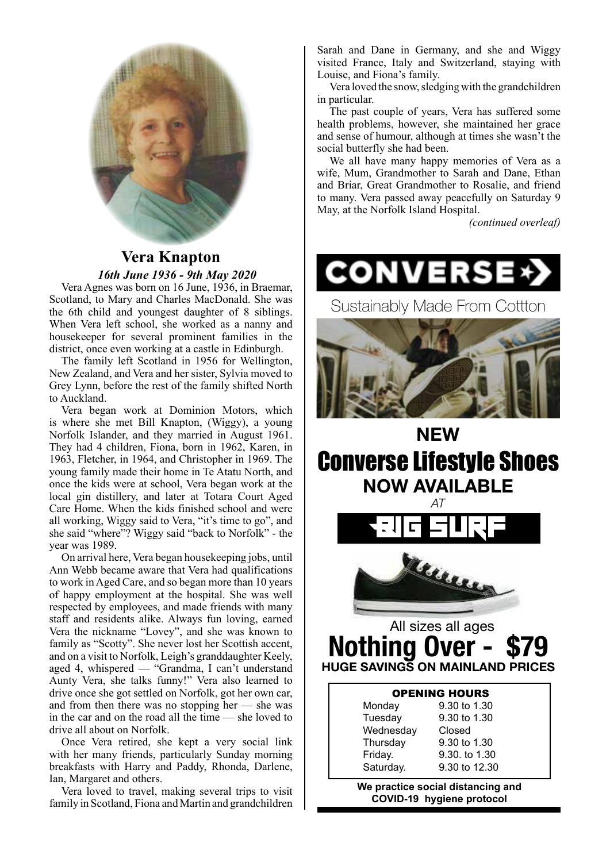

# **Vera Knapton**  *16th June 1936 - 9th May 2020*

Vera Agnes was born on 16 June, 1936, in Braemar, Scotland, to Mary and Charles MacDonald. She was the 6th child and youngest daughter of 8 siblings. When Vera left school, she worked as a nanny and housekeeper for several prominent families in the district, once even working at a castle in Edinburgh.

The family left Scotland in 1956 for Wellington, New Zealand, and Vera and her sister, Sylvia moved to Grey Lynn, before the rest of the family shifted North to Auckland.

Vera began work at Dominion Motors, which is where she met Bill Knapton, (Wiggy), a young Norfolk Islander, and they married in August 1961. They had 4 children, Fiona, born in 1962, Karen, in 1963, Fletcher, in 1964, and Christopher in 1969. The young family made their home in Te Atatu North, and once the kids were at school, Vera began work at the local gin distillery, and later at Totara Court Aged Care Home. When the kids finished school and were all working, Wiggy said to Vera, "it's time to go", and she said "where"? Wiggy said "back to Norfolk" - the year was 1989.

On arrival here, Vera began housekeeping jobs, until Ann Webb became aware that Vera had qualifications to work in Aged Care, and so began more than 10 years of happy employment at the hospital. She was well respected by employees, and made friends with many staff and residents alike. Always fun loving, earned Vera the nickname "Lovey", and she was known to family as "Scotty". She never lost her Scottish accent, and on a visit to Norfolk, Leigh's granddaughter Keely, aged 4, whispered — "Grandma, I can't understand Aunty Vera, she talks funny!" Vera also learned to drive once she got settled on Norfolk, got her own car, and from then there was no stopping her  $-$  she was in the car and on the road all the time — she loved to drive all about on Norfolk.

Once Vera retired, she kept a very social link with her many friends, particularly Sunday morning breakfasts with Harry and Paddy, Rhonda, Darlene, Ian, Margaret and others.

Vera loved to travel, making several trips to visit family in Scotland, Fiona and Martin and grandchildren Sarah and Dane in Germany, and she and Wiggy visited France, Italy and Switzerland, staying with Louise, and Fiona's family.

Vera loved the snow, sledging with the grandchildren in particular.

The past couple of years, Vera has suffered some health problems, however, she maintained her grace and sense of humour, although at times she wasn't the social butterfly she had been.

We all have many happy memories of Vera as a wife, Mum, Grandmother to Sarah and Dane, Ethan and Briar, Great Grandmother to Rosalie, and friend to many. Vera passed away peacefully on Saturday 9 May, at the Norfolk Island Hospital.

*(continued overleaf)*

Sustainably Made From Cottton



**NEW** Converse Lifestyle Shoes **NOW AVAILABLE** *AT*



# All sizes all ages **Nothing HUGE SAVINGS ON MAINLAND PRICES**

| <b>OPENING HOURS</b>              |               |  |
|-----------------------------------|---------------|--|
| Monday                            | 9.30 to 1.30  |  |
| Tuesday                           | 9.30 to 1.30  |  |
| Wednesday                         | Closed        |  |
| Thursday                          | 9.30 to 1.30  |  |
| Friday.                           | 9.30, to 1.30 |  |
| Saturday.                         | 9.30 to 12.30 |  |
| Wa nractica social distancing and |               |  |

**We practice social distancing and COVID-19 hygiene protocol**